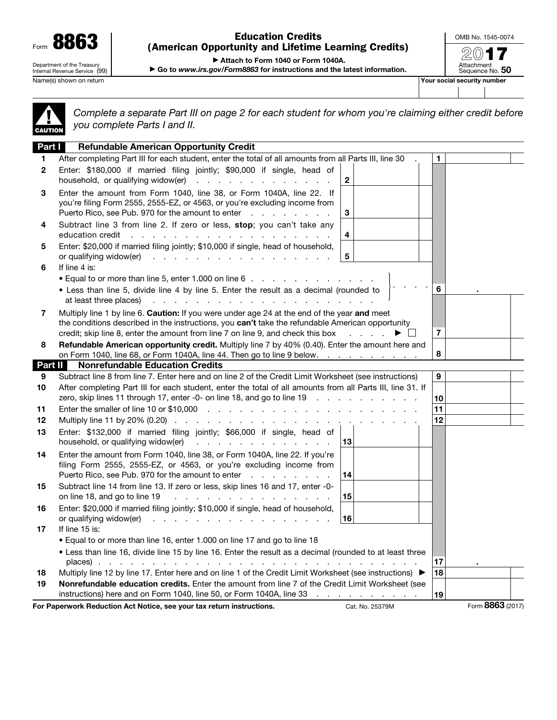| Form                                                        |  |  |  |  |
|-------------------------------------------------------------|--|--|--|--|
| Department of the Treasury<br>Internal Revenue Service (99) |  |  |  |  |

## Education Credits (American Opportunity and Lifetime Learning Credits)

OMB No. 1545-0074

2017 Attachment<br>Sequence No. **50** 

▶ Attach to Form 1040 or Form 1040A.

▶ Go to *www.irs.gov/Form8863* for instructions and the latest information.

Name(s) shown on return **Your social security number**  $\blacksquare$ 

| CAUTION |  |
|---------|--|

*Complete a separate Part III on page 2 for each student for whom you're claiming either credit before you complete Parts I and II.*

| Part I       | <b>Refundable American Opportunity Credit</b>                                                                                                                                                                                                                                                                                                            |    |                  |  |
|--------------|----------------------------------------------------------------------------------------------------------------------------------------------------------------------------------------------------------------------------------------------------------------------------------------------------------------------------------------------------------|----|------------------|--|
| 1.           | After completing Part III for each student, enter the total of all amounts from all Parts III, line 30                                                                                                                                                                                                                                                   | 1  |                  |  |
| $\mathbf{2}$ | Enter: \$180,000 if married filing jointly; \$90,000 if single, head of<br>household, or qualifying widow(er)<br>$\mathbf{2}$                                                                                                                                                                                                                            |    |                  |  |
| 3            | Enter the amount from Form 1040, line 38, or Form 1040A, line 22. If<br>you're filing Form 2555, 2555-EZ, or 4563, or you're excluding income from<br>Puerto Rico, see Pub. 970 for the amount to enter<br>3                                                                                                                                             |    |                  |  |
| 4            | Subtract line 3 from line 2. If zero or less, stop; you can't take any<br>$\overline{\mathbf{4}}$<br>and a series of the contract of the contract of the contract of the contract of the contract of the contract of<br>education credit                                                                                                                 |    |                  |  |
| 5            | Enter: \$20,000 if married filing jointly; \$10,000 if single, head of household,<br>5<br>or qualifying widow(er)<br>and a series and a series and a series and                                                                                                                                                                                          |    |                  |  |
| 6            | If line 4 is:                                                                                                                                                                                                                                                                                                                                            |    |                  |  |
|              | • Equal to or more than line 5, enter 1.000 on line 6                                                                                                                                                                                                                                                                                                    |    |                  |  |
|              | • Less than line 5, divide line 4 by line 5. Enter the result as a decimal (rounded to<br>at least three places)<br>and the contract of the contract of the contract of the contract of the contract of                                                                                                                                                  | 6  |                  |  |
| 7            | Multiply line 1 by line 6. Caution: If you were under age 24 at the end of the year and meet<br>the conditions described in the instructions, you can't take the refundable American opportunity<br>credit; skip line 8, enter the amount from line 7 on line 9, and check this box<br>$\overline{7}$<br>▶                                               |    |                  |  |
| 8            | Refundable American opportunity credit. Multiply line 7 by 40% (0.40). Enter the amount here and<br>8<br>on Form 1040, line 68, or Form 1040A, line 44. Then go to line 9 below.                                                                                                                                                                         |    |                  |  |
| Part II      | <b>Nonrefundable Education Credits</b>                                                                                                                                                                                                                                                                                                                   |    |                  |  |
| 9            | Subtract line 8 from line 7. Enter here and on line 2 of the Credit Limit Worksheet (see instructions)                                                                                                                                                                                                                                                   | 9  |                  |  |
| 10           | After completing Part III for each student, enter the total of all amounts from all Parts III, line 31. If                                                                                                                                                                                                                                               |    |                  |  |
|              | zero, skip lines 11 through 17, enter -0- on line 18, and go to line 19 \[mathta) . \[mathta) . \[mathta) . \]                                                                                                                                                                                                                                           | 10 |                  |  |
| 11           |                                                                                                                                                                                                                                                                                                                                                          | 11 |                  |  |
| $12 \,$      | Multiply line 11 by 20% (0.20) $\ldots$ $\ldots$ $\ldots$ $\ldots$ $\ldots$ $\ldots$ $\ldots$ $\ldots$ $\ldots$                                                                                                                                                                                                                                          | 12 |                  |  |
| 13           | Enter: \$132,000 if married filing jointly; \$66,000 if single, head of<br>household, or qualifying widow(er)<br>13<br>and the company of the company of the                                                                                                                                                                                             |    |                  |  |
|              | Enter the amount from Form 1040, line 38, or Form 1040A, line 22. If you're                                                                                                                                                                                                                                                                              |    |                  |  |
| 14           | filing Form 2555, 2555-EZ, or 4563, or you're excluding income from                                                                                                                                                                                                                                                                                      |    |                  |  |
|              | Puerto Rico, see Pub. 970 for the amount to enter<br>14                                                                                                                                                                                                                                                                                                  |    |                  |  |
| 15           | Subtract line 14 from line 13. If zero or less, skip lines 16 and 17, enter -0-<br>and the contract of the contract of the contract of the contract of the contract of the contract of the contract of the contract of the contract of the contract of the contract of the contract of the contract of the contra<br>15<br>on line 18, and go to line 19 |    |                  |  |
| 16           | Enter: \$20,000 if married filing jointly; \$10,000 if single, head of household,                                                                                                                                                                                                                                                                        |    |                  |  |
|              | or qualifying widow(er)<br>16                                                                                                                                                                                                                                                                                                                            |    |                  |  |
| 17           | If line 15 is:                                                                                                                                                                                                                                                                                                                                           |    |                  |  |
|              | • Equal to or more than line 16, enter 1.000 on line 17 and go to line 18                                                                                                                                                                                                                                                                                |    |                  |  |
|              | . Less than line 16, divide line 15 by line 16. Enter the result as a decimal (rounded to at least three                                                                                                                                                                                                                                                 |    |                  |  |
|              |                                                                                                                                                                                                                                                                                                                                                          | 17 |                  |  |
| 18           | Multiply line 12 by line 17. Enter here and on line 1 of the Credit Limit Worksheet (see instructions) ▶<br>18                                                                                                                                                                                                                                           |    |                  |  |
| 19           | Nonrefundable education credits. Enter the amount from line 7 of the Credit Limit Worksheet (see                                                                                                                                                                                                                                                         |    |                  |  |
|              | instructions) here and on Form 1040, line 50, or Form 1040A, line 33                                                                                                                                                                                                                                                                                     | 19 | Form 8863 (2017) |  |
|              | For Paperwork Reduction Act Notice, see your tax return instructions.<br>Cat. No. 25379M                                                                                                                                                                                                                                                                 |    |                  |  |